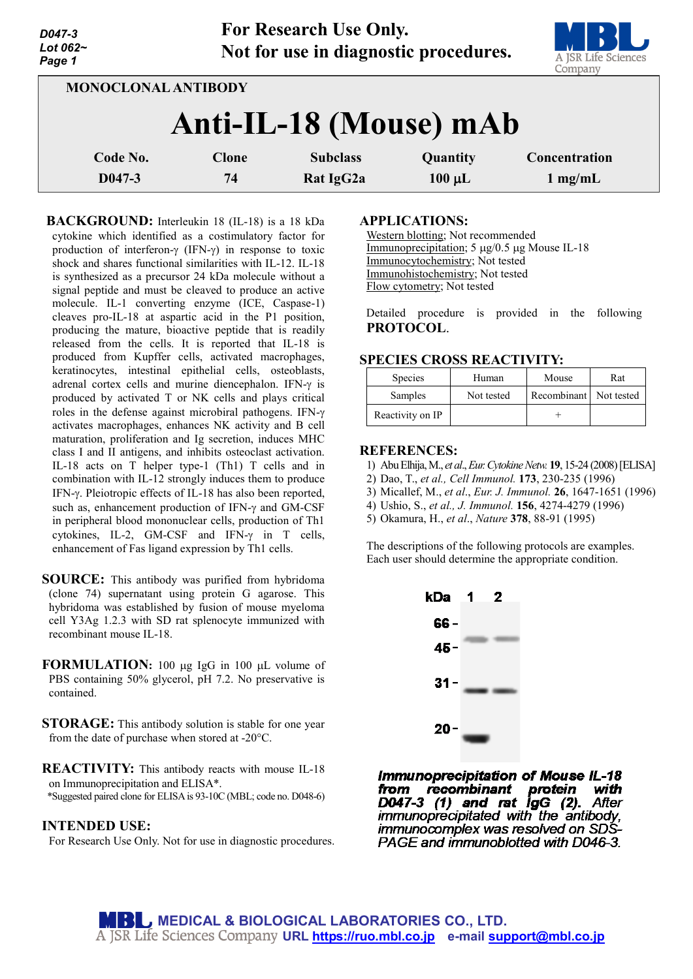| Lot $062-$<br>Page 1       |              | Not for use in diagnostic procedures. |             | U U<br>A JSR Life Sciences<br>Company |
|----------------------------|--------------|---------------------------------------|-------------|---------------------------------------|
| <b>MONOCLONAL ANTIBODY</b> |              |                                       |             |                                       |
|                            |              | Anti-IL-18 (Mouse) mAb                |             |                                       |
| Code No.                   | <b>Clone</b> | <b>Subclass</b>                       | Quantity    | Concentration                         |
| $D047-3$                   | 74           | Rat IgG2a                             | $100 \mu L$ | $1$ mg/mL                             |

**For Research Use Only.**

**BACKGROUND:** Interleukin 18 (IL-18) is a 18 kDa cytokine which identified as a costimulatory factor for production of interferon-γ (IFN-γ) in response to toxic shock and shares functional similarities with IL-12. IL-18 is synthesized as a precursor 24 kDa molecule without a signal peptide and must be cleaved to produce an active molecule. IL-1 converting enzyme (ICE, Caspase-1) cleaves pro-IL-18 at aspartic acid in the P1 position, producing the mature, bioactive peptide that is readily released from the cells. It is reported that IL-18 is produced from Kupffer cells, activated macrophages, keratinocytes, intestinal epithelial cells, osteoblasts, adrenal cortex cells and murine diencephalon. IFN-γ is produced by activated T or NK cells and plays critical roles in the defense against microbiral pathogens. IFN-γ activates macrophages, enhances NK activity and B cell maturation, proliferation and Ig secretion, induces MHC class I and II antigens, and inhibits osteoclast activation. IL-18 acts on T helper type-1 (Th1) T cells and in combination with IL-12 strongly induces them to produce IFN-γ. Pleiotropic effects of IL-18 has also been reported, such as, enhancement production of IFN-γ and GM-CSF in peripheral blood mononuclear cells, production of Th1 cytokines, IL-2, GM-CSF and IFN-γ in T cells, enhancement of Fas ligand expression by Th1 cells.

- **SOURCE:** This antibody was purified from hybridoma (clone 74) supernatant using protein G agarose. This hybridoma was established by fusion of mouse myeloma cell Y3Ag 1.2.3 with SD rat splenocyte immunized with recombinant mouse IL-18.
- **FORMULATION:** 100 µg IgG in 100 µL volume of PBS containing 50% glycerol, pH 7.2. No preservative is contained.
- **STORAGE:** This antibody solution is stable for one year from the date of purchase when stored at -20°C.

**REACTIVITY:** This antibody reacts with mouse IL-18 on Immunoprecipitation and ELISA\*. \*Suggested paired clone for ELISA is 93-10C (MBL; code no. D048-6)

## **INTENDED USE:**

*D047-3*

For Research Use Only. Not for use in diagnostic procedures.

#### **APPLICATIONS:**

Western blotting; Not recommended Immunoprecipitation; 5 µg/0.5 µg Mouse IL-18 Immunocytochemistry; Not tested Immunohistochemistry; Not tested Flow cytometry; Not tested

Detailed procedure is provided in the following **PROTOCOL**.

## **SPECIES CROSS REACTIVITY:**

| <b>Species</b>   | Human      | Mouse                  | Rat |
|------------------|------------|------------------------|-----|
| Samples          | Not tested | Recombinant Not tested |     |
| Reactivity on IP |            |                        |     |

### **REFERENCES:**

- 1) Abu Elhija,M., *et al*., *Eur.Cytokine Netw.* **19**, 15-24 (2008)[ELISA]
- 2) Dao, T., *et al., Cell Immunol.* **173**, 230-235 (1996)
- 3) Micallef, M., *et al*., *Eur. J. Immunol.* **26**, 1647-1651 (1996)
- 4) Ushio, S., *et al., J. Immunol.* **156**, 4274-4279 (1996)
- 5) Okamura, H., *et al*., *Nature* **378**, 88-91 (1995)

The descriptions of the following protocols are examples. Each user should determine the appropriate condition.



**Immunoprecipitation of Mouse IL-18 from recombinant protein with<br>D047-3 (1) and rat IgG (2).** After immunoprecipitated with the antibody, immunocomplex was resolved on SDS-PAGE and immunoblotted with D046-3.